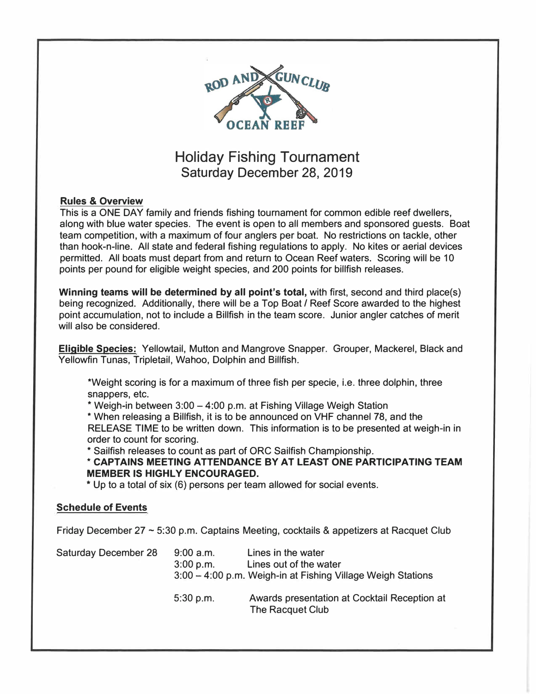

### Holiday Fishing Tournament Saturday December 28, 2019

#### **Rules** & **Overview**

This is a ONE DAY family and friends fishing tournament for common edible reef dwellers, along with blue water species. The event is open to all members and sponsored guests. Boat team competition, with a maximum of four anglers per boat. No restrictions on tackle, other than hook-n-line. All state and federal fishing regulations to apply. No kites or aerial devices permitted. All boats must depart from and return to Ocean Reef waters. Scoring will be 10 points per pound for eligible weight species, and 200 points for billfish releases.

**Winning teams will be determined by all point's total,** with first, second and third place(s) being recognized. Additionally, there will be a Top Boat *I* Reef Score awarded to the highest point accumulation, not to include a Billfish in the team score. Junior angler catches of merit will also be considered.

**Eligible Species:** Yellowtail, Mutton and Mangrove Snapper. Grouper, Mackerel, Black and Yellowfin Tunas, Tripletail, Wahoo, Dolphin and Billfish.

\*Weight scoring is for a maximum of three fish per specie, i.e. three dolphin, three snappers, etc.

\* Weigh-in between 3:00 - 4:00 p.m. at Fishing Village Weigh Station

\* When releasing a Billfish, it is to be announced on VHF channel 78, and the RELEASE TIME to be written down. This information is to be presented at weigh-in in order to count for scoring.

\* Sailfish releases to count as part of ORC Sailfish Championship.

**\* CAPTAINS MEETING ATTENDANCE BY AT LEAST ONE PARTICIPATING TEAM MEMBER IS HIGHLY ENCOURAGED.**

\* Up to a total of six (6) persons per team allowed for social events.

#### **Schedule of Events**

Friday December 27  $\sim$  5:30 p.m. Captains Meeting, cocktails & appetizers at Racquet Club

| <b>Saturday December 28</b> | $9:00$ a.m.<br>3:00 p.m. | Lines in the water<br>Lines out of the water<br>3:00 - 4:00 p.m. Weigh-in at Fishing Village Weigh Stations |
|-----------------------------|--------------------------|-------------------------------------------------------------------------------------------------------------|
|                             | $5:30$ p.m.              | Awards presentation at Cocktail Reception at<br>The Racquet Club                                            |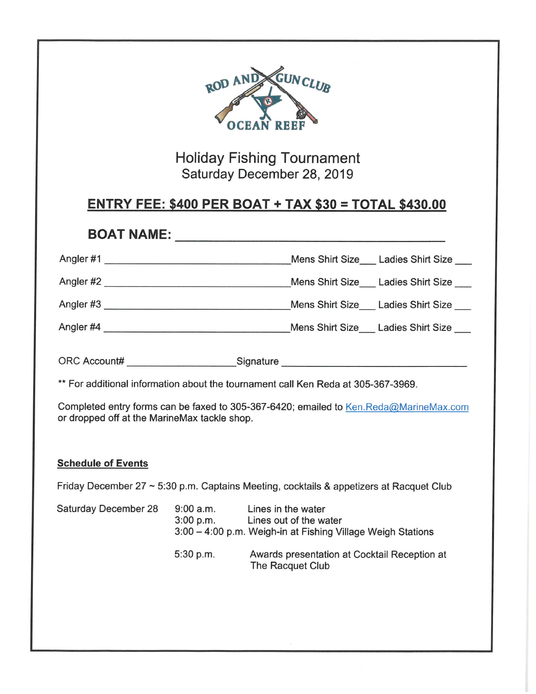